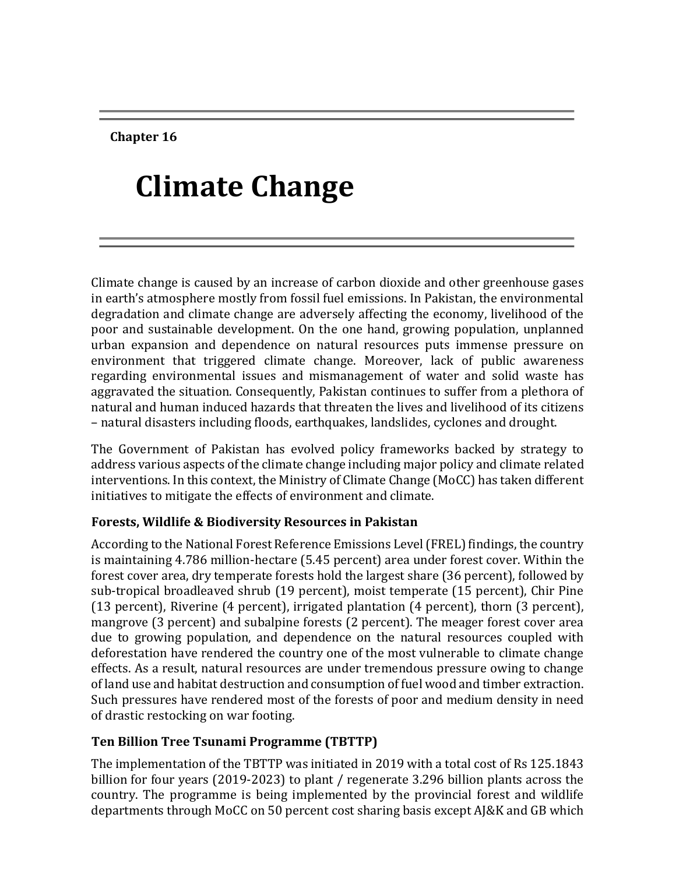**Chapter 16**

# **Climate Change**

Climate change is caused by an increase of carbon dioxide and other greenhouse gases in earth's atmosphere mostly from fossil fuel emissions. In Pakistan, the environmental degradation and climate change are adversely affecting the economy, livelihood of the poor and sustainable development. On the one hand, growing population, unplanned urban expansion and dependence on natural resources puts immense pressure on environment that triggered climate change. Moreover, lack of public awareness regarding environmental issues and mismanagement of water and solid waste has aggravated the situation. Consequently, Pakistan continues to suffer from a plethora of natural and human induced hazards that threaten the lives and livelihood of its citizens – natural disasters including floods, earthquakes, landslides, cyclones and drought.

The Government of Pakistan has evolved policy frameworks backed by strategy to address various aspects of the climate change including major policy and climate related interventions. In this context, the Ministry of Climate Change (MoCC) has taken different initiatives to mitigate the effects of environment and climate.

## **Forests, Wildlife & Biodiversity Resources in Pakistan**

According to the National Forest Reference Emissions Level (FREL) findings, the country is maintaining 4.786 million-hectare (5.45 percent) area under forest cover. Within the forest cover area, dry temperate forests hold the largest share (36 percent), followed by sub-tropical broadleaved shrub (19 percent), moist temperate (15 percent), Chir Pine (13 percent), Riverine (4 percent), irrigated plantation (4 percent), thorn (3 percent), mangrove (3 percent) and subalpine forests (2 percent). The meager forest cover area due to growing population, and dependence on the natural resources coupled with deforestation have rendered the country one of the most vulnerable to climate change effects. As a result, natural resources are under tremendous pressure owing to change of land use and habitat destruction and consumption of fuel wood and timber extraction. Such pressures have rendered most of the forests of poor and medium density in need of drastic restocking on war footing.

## **Ten Billion Tree Tsunami Programme (TBTTP)**

The implementation of the TBTTP was initiated in 2019 with a total cost of Rs 125.1843 billion for four years (2019-2023) to plant / regenerate 3.296 billion plants across the country. The programme is being implemented by the provincial forest and wildlife departments through MoCC on 50 percent cost sharing basis except AJ&K and GB which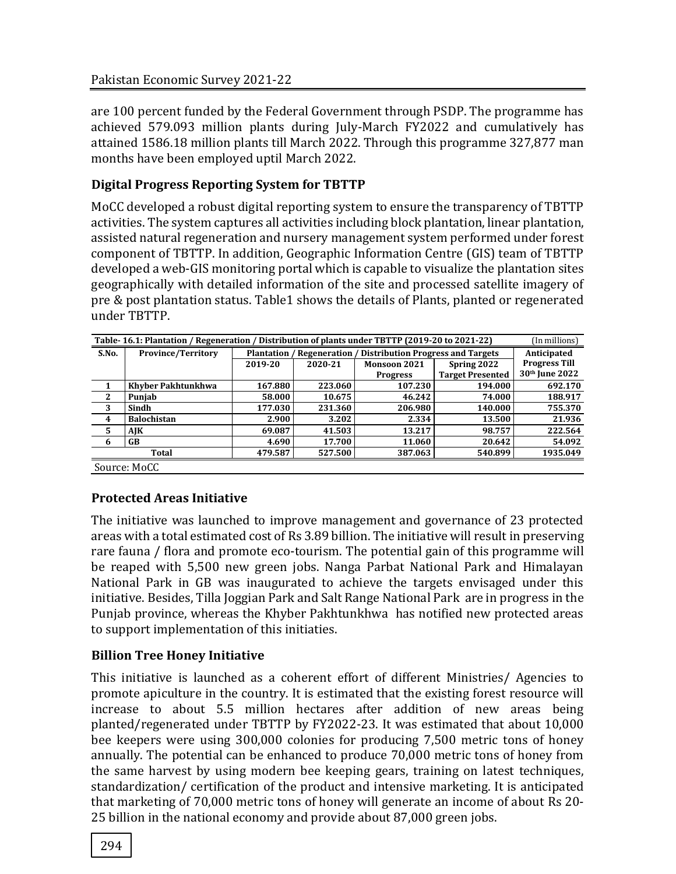are 100 percent funded by the Federal Government through PSDP. The programme has achieved 579.093 million plants during July-March FY2022 and cumulatively has attained 1586.18 million plants till March 2022. Through this programme 327,877 man months have been employed uptil March 2022.

## **Digital Progress Reporting System for TBTTP**

MoCC developed a robust digital reporting system to ensure the transparency of TBTTP activities. The system captures all activities including block plantation, linear plantation, assisted natural regeneration and nursery management system performed under forest component of TBTTP. In addition, Geographic Information Centre (GIS) team of TBTTP developed a web-GIS monitoring portal which is capable to visualize the plantation sites geographically with detailed information of the site and processed satellite imagery of pre & post plantation status. Table1 shows the details of Plants, planted or regenerated under TBTTP.

| Table-16.1: Plantation / Regeneration / Distribution of plants under TBTTP (2019-20 to 2021-22)<br>(In millions) |                           |            |                |                                          |                         |                            |  |
|------------------------------------------------------------------------------------------------------------------|---------------------------|------------|----------------|------------------------------------------|-------------------------|----------------------------|--|
| S.No.                                                                                                            | <b>Province/Territory</b> | Plantation | / Regeneration | <b>Distribution Progress and Targets</b> | Anticipated             |                            |  |
|                                                                                                                  |                           | 2019-20    | 2020-21        | Monsoon 2021                             | Spring 2022             | <b>Progress Till</b>       |  |
|                                                                                                                  |                           |            |                | <b>Progress</b>                          | <b>Target Presented</b> | 30 <sup>th</sup> June 2022 |  |
|                                                                                                                  | Khyber Pakhtunkhwa        | 167.880    | 223.060        | 107.230                                  | 194.000                 | 692.170                    |  |
| $\mathbf{2}$                                                                                                     | Punjab                    | 58.000     | 10.675         | 46.242                                   | 74.000                  | 188.917                    |  |
| 3                                                                                                                | Sindh                     | 177.030    | 231.360        | 206.980                                  | 140.000                 | 755.370                    |  |
| 4                                                                                                                | <b>Balochistan</b>        | 2.900      | 3.202          | 2.334                                    | 13.500                  | 21.936                     |  |
| 5                                                                                                                | AJK                       | 69.087     | 41.503         | 13.217                                   | 98.757                  | 222.564                    |  |
| 6                                                                                                                | GB                        | 4.690      | 17.700         | 11.060                                   | 20.642                  | 54.092                     |  |
| Total                                                                                                            |                           | 479.587    | 527.500        | 387.063                                  | 540.899                 | 1935.049                   |  |
| $\alpha$ $\alpha$                                                                                                |                           |            |                |                                          |                         |                            |  |

Source: MoCC

## **Protected Areas Initiative**

The initiative was launched to improve management and governance of 23 protected areas with a total estimated cost of Rs 3.89 billion. The initiative will result in preserving rare fauna / flora and promote eco-tourism. The potential gain of this programme will be reaped with 5,500 new green jobs. Nanga Parbat National Park and Himalayan National Park in GB was inaugurated to achieve the targets envisaged under this initiative. Besides, Tilla Joggian Park and Salt Range National Park are in progress in the Punjab province, whereas the Khyber Pakhtunkhwa has notified new protected areas to support implementation of this initiaties.

## **Billion Tree Honey Initiative**

This initiative is launched as a coherent effort of different Ministries/ Agencies to promote apiculture in the country. It is estimated that the existing forest resource will increase to about 5.5 million hectares after addition of new areas being planted/regenerated under TBTTP by FY2022-23. It was estimated that about 10,000 bee keepers were using 300,000 colonies for producing 7,500 metric tons of honey annually. The potential can be enhanced to produce 70,000 metric tons of honey from the same harvest by using modern bee keeping gears, training on latest techniques, standardization/ certification of the product and intensive marketing. It is anticipated that marketing of 70,000 metric tons of honey will generate an income of about Rs 20- 25 billion in the national economy and provide about 87,000 green jobs.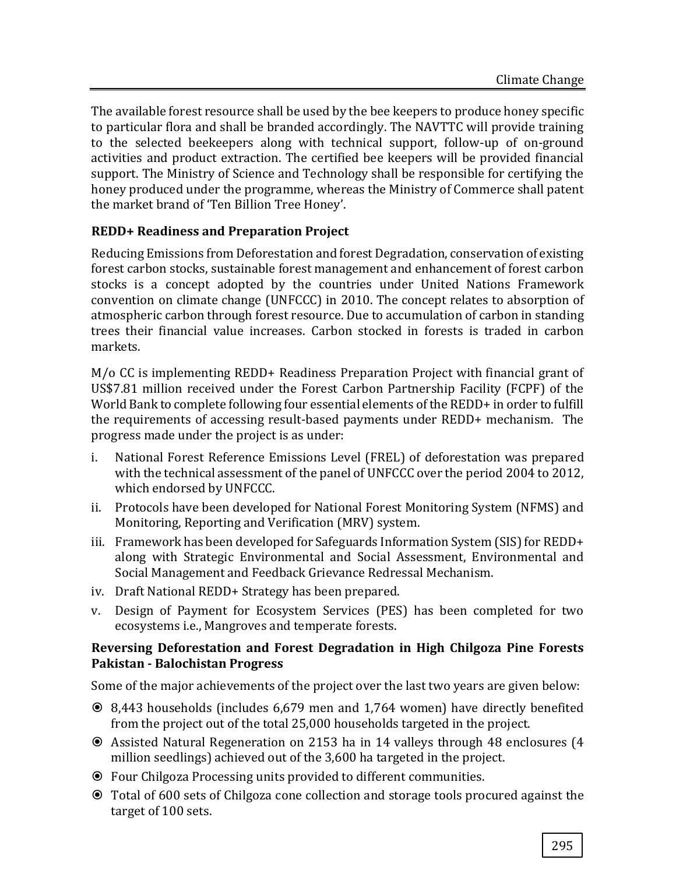The available forest resource shall be used by the bee keepers to produce honey specific to particular flora and shall be branded accordingly. The NAVTTC will provide training to the selected beekeepers along with technical support, follow-up of on-ground activities and product extraction. The certified bee keepers will be provided financial support. The Ministry of Science and Technology shall be responsible for certifying the honey produced under the programme, whereas the Ministry of Commerce shall patent the market brand of 'Ten Billion Tree Honey'.

## **REDD+ Readiness and Preparation Project**

Reducing Emissions from Deforestation and forest Degradation, conservation of existing forest carbon stocks, sustainable forest management and enhancement of forest carbon stocks is a concept adopted by the countries under United Nations Framework convention on climate change (UNFCCC) in 2010. The concept relates to absorption of atmospheric carbon through forest resource. Due to accumulation of carbon in standing trees their financial value increases. Carbon stocked in forests is traded in carbon markets.

M/o CC is implementing REDD+ Readiness Preparation Project with financial grant of US\$7.81 million received under the Forest Carbon Partnership Facility (FCPF) of the World Bank to complete following four essential elements of the REDD+ in order to fulfill the requirements of accessing result-based payments under REDD+ mechanism. The progress made under the project is as under:

- i. National Forest Reference Emissions Level (FREL) of deforestation was prepared with the technical assessment of the panel of UNFCCC over the period 2004 to 2012, which endorsed by UNFCCC.
- ii. Protocols have been developed for National Forest Monitoring System (NFMS) and Monitoring, Reporting and Verification (MRV) system.
- iii. Framework has been developed for Safeguards Information System (SIS) for REDD+ along with Strategic Environmental and Social Assessment, Environmental and Social Management and Feedback Grievance Redressal Mechanism.
- iv. Draft National REDD+ Strategy has been prepared.
- v. Design of Payment for Ecosystem Services (PES) has been completed for two ecosystems i.e., Mangroves and temperate forests.

#### **Reversing Deforestation and Forest Degradation in High Chilgoza Pine Forests Pakistan - Balochistan Progress**

Some of the major achievements of the project over the last two years are given below:

- 8,443 households (includes 6,679 men and 1,764 women) have directly benefited from the project out of the total 25,000 households targeted in the project.
- Assisted Natural Regeneration on 2153 ha in 14 valleys through 48 enclosures (4 million seedlings) achieved out of the 3,600 ha targeted in the project.
- Four Chilgoza Processing units provided to different communities.
- Total of 600 sets of Chilgoza cone collection and storage tools procured against the target of 100 sets.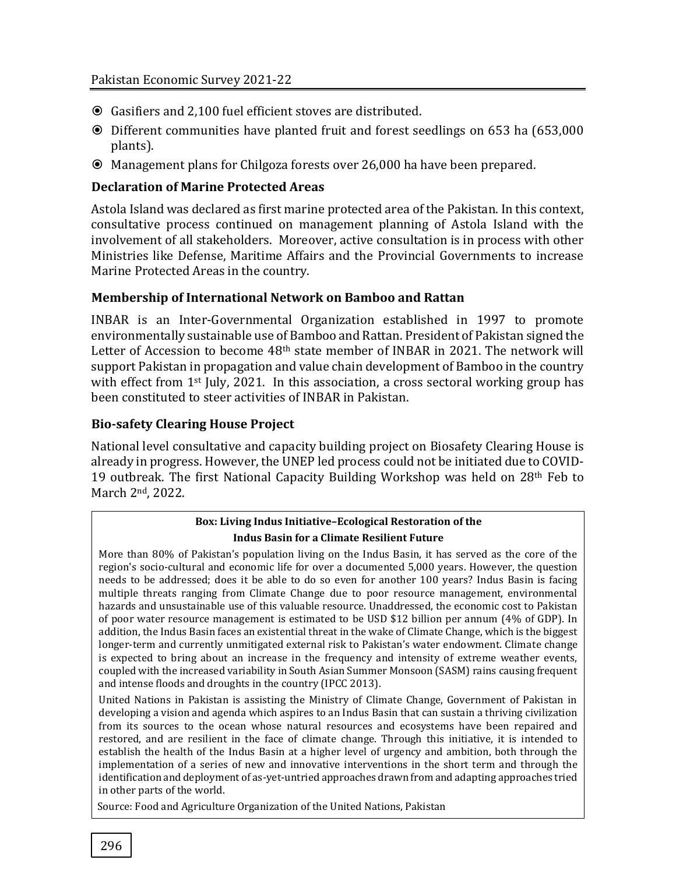- Gasifiers and 2,100 fuel efficient stoves are distributed.
- Different communities have planted fruit and forest seedlings on 653 ha (653,000 plants).
- Management plans for Chilgoza forests over 26,000 ha have been prepared.

#### **Declaration of Marine Protected Areas**

Astola Island was declared as first marine protected area of the Pakistan. In this context, consultative process continued on management planning of Astola Island with the involvement of all stakeholders. Moreover, active consultation is in process with other Ministries like Defense, Maritime Affairs and the Provincial Governments to increase Marine Protected Areas in the country.

#### **Membership of International Network on Bamboo and Rattan**

INBAR is an Inter-Governmental Organization established in 1997 to promote environmentally sustainable use of Bamboo and Rattan. President of Pakistan signed the Letter of Accession to become 48th state member of INBAR in 2021. The network will support Pakistan in propagation and value chain development of Bamboo in the country with effect from 1<sup>st</sup> July, 2021. In this association, a cross sectoral working group has been constituted to steer activities of INBAR in Pakistan.

#### **Bio-safety Clearing House Project**

National level consultative and capacity building project on Biosafety Clearing House is already in progress. However, the UNEP led process could not be initiated due to COVID-19 outbreak. The first National Capacity Building Workshop was held on 28<sup>th</sup> Feb to March 2nd, 2022.

#### **Box: Living Indus Initiative–Ecological Restoration of the Indus Basin for a Climate Resilient Future**

More than 80% of Pakistan's population living on the Indus Basin, it has served as the core of the region's socio-cultural and economic life for over a documented 5,000 years. However, the question needs to be addressed; does it be able to do so even for another 100 years? Indus Basin is facing multiple threats ranging from Climate Change due to poor resource management, environmental hazards and unsustainable use of this valuable resource. Unaddressed, the economic cost to Pakistan of poor water resource management is estimated to be USD \$12 billion per annum (4% of GDP). In addition, the Indus Basin faces an existential threat in the wake of Climate Change, which is the biggest longer-term and currently unmitigated external risk to Pakistan's water endowment. Climate change is expected to bring about an increase in the frequency and intensity of extreme weather events, coupled with the increased variability in South Asian Summer Monsoon (SASM) rains causing frequent and intense floods and droughts in the country (IPCC 2013).

United Nations in Pakistan is assisting the Ministry of Climate Change, Government of Pakistan in developing a vision and agenda which aspires to an Indus Basin that can sustain a thriving civilization from its sources to the ocean whose natural resources and ecosystems have been repaired and restored, and are resilient in the face of climate change. Through this initiative, it is intended to establish the health of the Indus Basin at a higher level of urgency and ambition, both through the implementation of a series of new and innovative interventions in the short term and through the identification and deployment of as-yet-untried approaches drawn from and adapting approaches tried in other parts of the world.

Source: Food and Agriculture Organization of the United Nations, Pakistan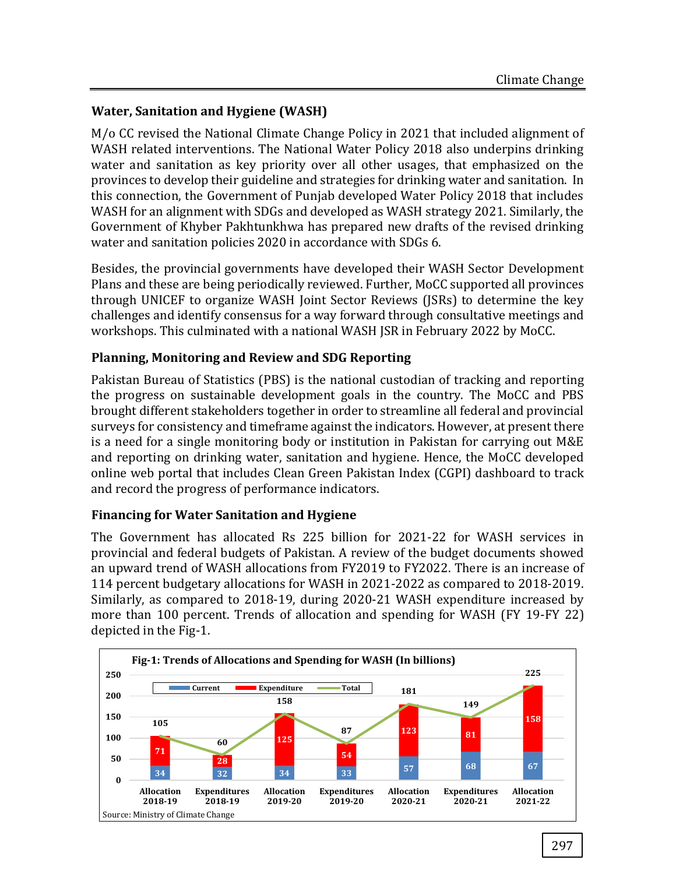## **Water, Sanitation and Hygiene (WASH)**

M/o CC revised the National Climate Change Policy in 2021 that included alignment of WASH related interventions. The National Water Policy 2018 also underpins drinking water and sanitation as key priority over all other usages, that emphasized on the provinces to develop their guideline and strategies for drinking water and sanitation. In this connection, the Government of Punjab developed Water Policy 2018 that includes WASH for an alignment with SDGs and developed as WASH strategy 2021. Similarly, the Government of Khyber Pakhtunkhwa has prepared new drafts of the revised drinking water and sanitation policies 2020 in accordance with SDGs 6.

Besides, the provincial governments have developed their WASH Sector Development Plans and these are being periodically reviewed. Further, MoCC supported all provinces through UNICEF to organize WASH Joint Sector Reviews (JSRs) to determine the key challenges and identify consensus for a way forward through consultative meetings and workshops. This culminated with a national WASH JSR in February 2022 by MoCC.

## **Planning, Monitoring and Review and SDG Reporting**

Pakistan Bureau of Statistics (PBS) is the national custodian of tracking and reporting the progress on sustainable development goals in the country. The MoCC and PBS brought different stakeholders together in order to streamline all federal and provincial surveys for consistency and timeframe against the indicators. However, at present there is a need for a single monitoring body or institution in Pakistan for carrying out M&E and reporting on drinking water, sanitation and hygiene. Hence, the MoCC developed online web portal that includes Clean Green Pakistan Index (CGPI) dashboard to track and record the progress of performance indicators.

#### **Financing for Water Sanitation and Hygiene**

The Government has allocated Rs 225 billion for 2021-22 for WASH services in provincial and federal budgets of Pakistan. A review of the budget documents showed an upward trend of WASH allocations from FY2019 to FY2022. There is an increase of 114 percent budgetary allocations for WASH in 2021-2022 as compared to 2018-2019. Similarly, as compared to 2018-19, during 2020-21 WASH expenditure increased by more than 100 percent. Trends of allocation and spending for WASH (FY 19-FY 22) depicted in the Fig-1.

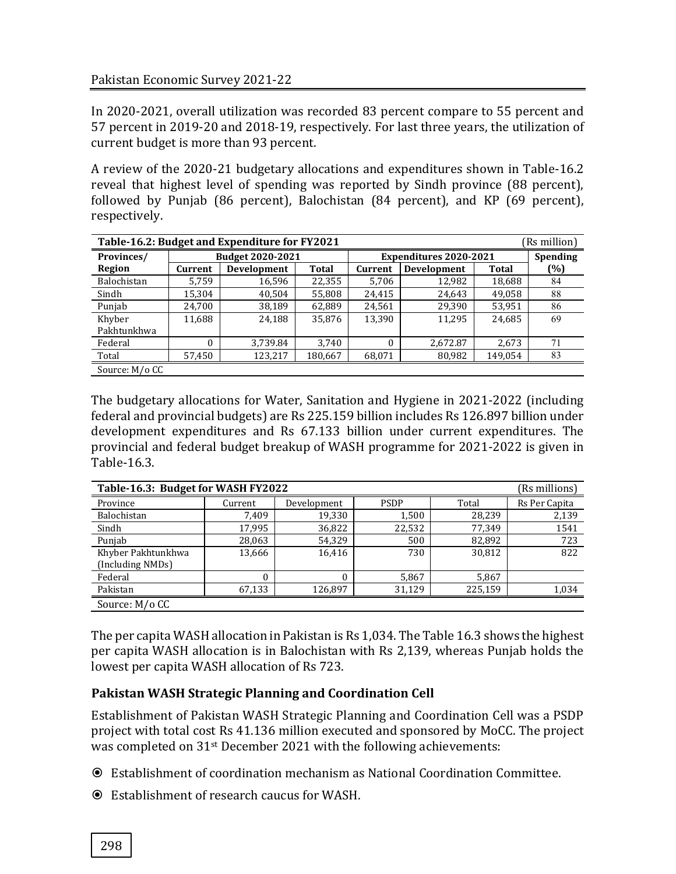In 2020-2021, overall utilization was recorded 83 percent compare to 55 percent and 57 percent in 2019-20 and 2018-19, respectively. For last three years, the utilization of current budget is more than 93 percent.

A review of the 2020-21 budgetary allocations and expenditures shown in Table-16.2 reveal that highest level of spending was reported by Sindh province (88 percent), followed by Punjab (86 percent), Balochistan (84 percent), and KP (69 percent), respectively.

| Table-16.2: Budget and Expenditure for FY2021<br>(Rs million) |                  |             |         |                               |                    |         |     |  |
|---------------------------------------------------------------|------------------|-------------|---------|-------------------------------|--------------------|---------|-----|--|
| Provinces/                                                    | Budget 2020-2021 |             |         | <b>Expenditures 2020-2021</b> | <b>Spending</b>    |         |     |  |
| Region                                                        | Current          | Development | Total   | Current                       | <b>Development</b> | Total   | (%) |  |
| Balochistan                                                   | 5.759            | 16,596      | 22,355  | 5,706                         | 12,982             | 18,688  | 84  |  |
| Sindh                                                         | 15,304           | 40,504      | 55,808  | 24,415                        | 24,643             | 49,058  | 88  |  |
| Punjab                                                        | 24,700           | 38,189      | 62,889  | 24,561                        | 29,390             | 53,951  | 86  |  |
| Khyber                                                        | 11,688           | 24,188      | 35,876  | 13,390                        | 11,295             | 24,685  | 69  |  |
| Pakhtunkhwa                                                   |                  |             |         |                               |                    |         |     |  |
| Federal                                                       | 0                | 3,739.84    | 3,740   | 0                             | 2,672.87           | 2,673   | 71  |  |
| Total                                                         | 57,450           | 123,217     | 180,667 | 68,071                        | 80,982             | 149,054 | 83  |  |
| Source: M/o CC                                                |                  |             |         |                               |                    |         |     |  |

The budgetary allocations for Water, Sanitation and Hygiene in 2021-2022 (including federal and provincial budgets) are Rs 225.159 billion includes Rs 126.897 billion under development expenditures and Rs 67.133 billion under current expenditures. The provincial and federal budget breakup of WASH programme for 2021-2022 is given in Table-16.3.

| Table-16.3: Budget for WASH FY2022<br>(Rs millions) |          |             |             |         |               |  |  |
|-----------------------------------------------------|----------|-------------|-------------|---------|---------------|--|--|
| Province                                            | Current  | Development | <b>PSDP</b> | Total   | Rs Per Capita |  |  |
| Balochistan                                         | 7.409    | 19,330      | 1,500       | 28,239  | 2,139         |  |  |
| Sindh                                               | 17,995   | 36,822      | 22,532      | 77,349  | 1541          |  |  |
| Punjab                                              | 28,063   | 54,329      | 500         | 82,892  | 723           |  |  |
| Khyber Pakhtunkhwa                                  | 13,666   | 16,416      | 730         | 30.812  | 822           |  |  |
| (Including NMDs)                                    |          |             |             |         |               |  |  |
| Federal                                             | $\theta$ | $\theta$    | 5,867       | 5,867   |               |  |  |
| Pakistan                                            | 67,133   | 126.897     | 31.129      | 225,159 | 1,034         |  |  |
| Source: M/o CC                                      |          |             |             |         |               |  |  |

The per capita WASH allocation in Pakistan is Rs 1,034. The Table 16.3 shows the highest per capita WASH allocation is in Balochistan with Rs 2,139, whereas Punjab holds the lowest per capita WASH allocation of Rs 723.

## **Pakistan WASH Strategic Planning and Coordination Cell**

Establishment of Pakistan WASH Strategic Planning and Coordination Cell was a PSDP project with total cost Rs 41.136 million executed and sponsored by MoCC. The project was completed on 31st December 2021 with the following achievements:

- Establishment of coordination mechanism as National Coordination Committee.
- Establishment of research caucus for WASH.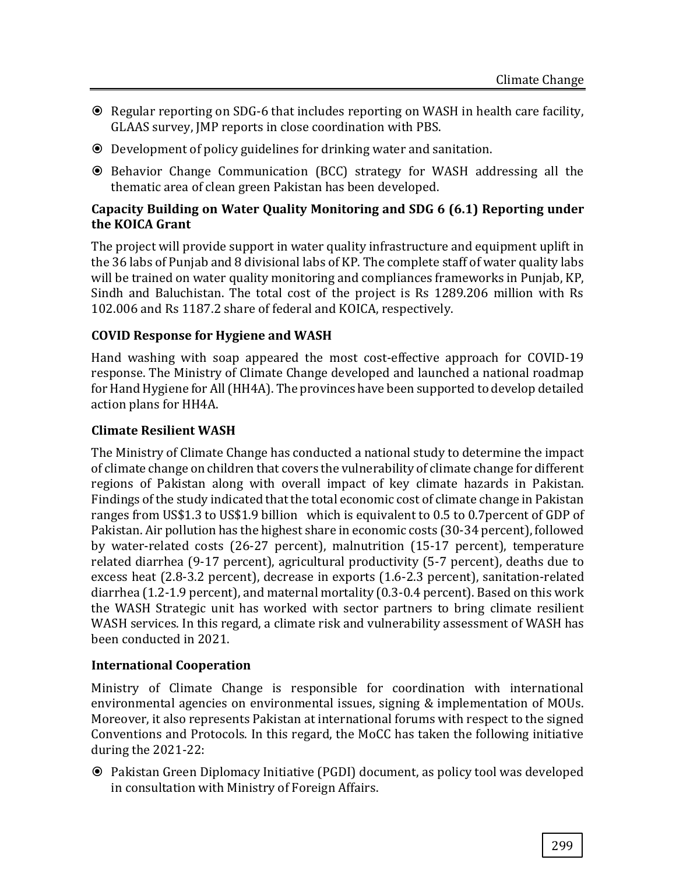- Regular reporting on SDG-6 that includes reporting on WASH in health care facility, GLAAS survey, JMP reports in close coordination with PBS.
- Development of policy guidelines for drinking water and sanitation.
- Behavior Change Communication (BCC) strategy for WASH addressing all the thematic area of clean green Pakistan has been developed.

#### **Capacity Building on Water Quality Monitoring and SDG 6 (6.1) Reporting under the KOICA Grant**

The project will provide support in water quality infrastructure and equipment uplift in the 36 labs of Punjab and 8 divisional labs of KP. The complete staff of water quality labs will be trained on water quality monitoring and compliances frameworks in Punjab, KP, Sindh and Baluchistan. The total cost of the project is Rs 1289.206 million with Rs 102.006 and Rs 1187.2 share of federal and KOICA, respectively.

## **COVID Response for Hygiene and WASH**

Hand washing with soap appeared the most cost-effective approach for COVID-19 response. The Ministry of Climate Change developed and launched a national roadmap for Hand Hygiene for All (HH4A). The provinces have been supported to develop detailed action plans for HH4A.

#### **Climate Resilient WASH**

The Ministry of Climate Change has conducted a national study to determine the impact of climate change on children that covers the vulnerability of climate change for different regions of Pakistan along with overall impact of key climate hazards in Pakistan. Findings of the study indicated that the total economic cost of climate change in Pakistan ranges from US\$1.3 to US\$1.9 billion which is equivalent to 0.5 to 0.7percent of GDP of Pakistan. Air pollution has the highest share in economic costs (30-34 percent), followed by water-related costs (26-27 percent), malnutrition (15-17 percent), temperature related diarrhea (9-17 percent), agricultural productivity (5-7 percent), deaths due to excess heat (2.8-3.2 percent), decrease in exports (1.6-2.3 percent), sanitation-related diarrhea (1.2-1.9 percent), and maternal mortality (0.3-0.4 percent). Based on this work the WASH Strategic unit has worked with sector partners to bring climate resilient WASH services. In this regard, a climate risk and vulnerability assessment of WASH has been conducted in 2021.

## **International Cooperation**

Ministry of Climate Change is responsible for coordination with international environmental agencies on environmental issues, signing & implementation of MOUs. Moreover, it also represents Pakistan at international forums with respect to the signed Conventions and Protocols. In this regard, the MoCC has taken the following initiative during the 2021-22:

 Pakistan Green Diplomacy Initiative (PGDI) document, as policy tool was developed in consultation with Ministry of Foreign Affairs.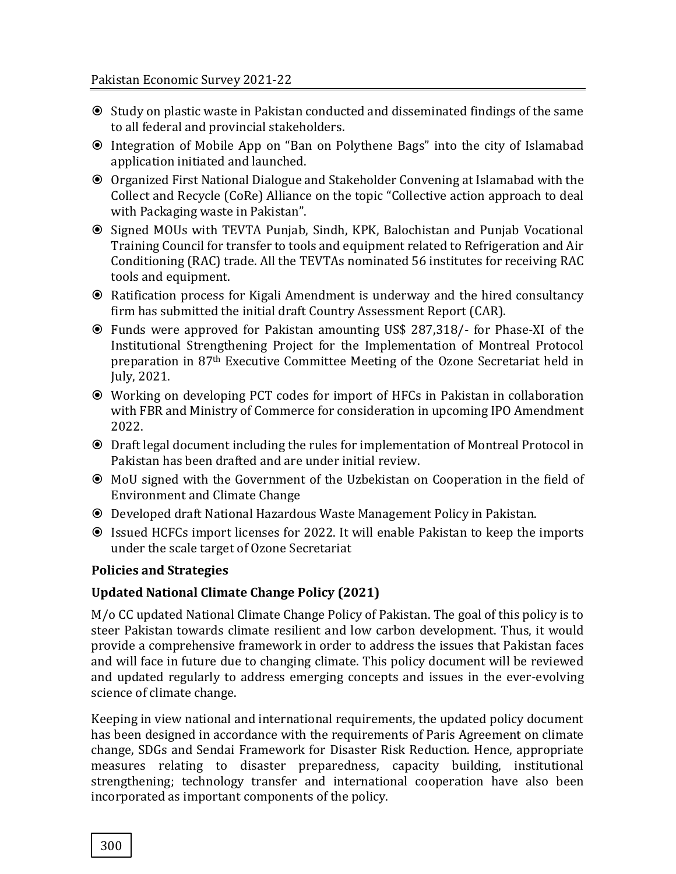- Study on plastic waste in Pakistan conducted and disseminated findings of the same to all federal and provincial stakeholders.
- Integration of Mobile App on "Ban on Polythene Bags" into the city of Islamabad application initiated and launched.
- Organized First National Dialogue and Stakeholder Convening at Islamabad with the Collect and Recycle (CoRe) Alliance on the topic "Collective action approach to deal with Packaging waste in Pakistan".
- Signed MOUs with TEVTA Punjab, Sindh, KPK, Balochistan and Punjab Vocational Training Council for transfer to tools and equipment related to Refrigeration and Air Conditioning (RAC) trade. All the TEVTAs nominated 56 institutes for receiving RAC tools and equipment.
- Ratification process for Kigali Amendment is underway and the hired consultancy firm has submitted the initial draft Country Assessment Report (CAR).
- Funds were approved for Pakistan amounting US\$ 287,318/- for Phase-XI of the Institutional Strengthening Project for the Implementation of Montreal Protocol preparation in 87th Executive Committee Meeting of the Ozone Secretariat held in July, 2021.
- Working on developing PCT codes for import of HFCs in Pakistan in collaboration with FBR and Ministry of Commerce for consideration in upcoming IPO Amendment 2022.
- Draft legal document including the rules for implementation of Montreal Protocol in Pakistan has been drafted and are under initial review.
- MoU signed with the Government of the Uzbekistan on Cooperation in the field of Environment and Climate Change
- Developed draft National Hazardous Waste Management Policy in Pakistan.
- Issued HCFCs import licenses for 2022. It will enable Pakistan to keep the imports under the scale target of Ozone Secretariat

## **Policies and Strategies**

## **Updated National Climate Change Policy (2021)**

M/o CC updated National Climate Change Policy of Pakistan. The goal of this policy is to steer Pakistan towards climate resilient and low carbon development. Thus, it would provide a comprehensive framework in order to address the issues that Pakistan faces and will face in future due to changing climate. This policy document will be reviewed and updated regularly to address emerging concepts and issues in the ever-evolving science of climate change.

Keeping in view national and international requirements, the updated policy document has been designed in accordance with the requirements of Paris Agreement on climate change, SDGs and Sendai Framework for Disaster Risk Reduction. Hence, appropriate measures relating to disaster preparedness, capacity building, institutional strengthening; technology transfer and international cooperation have also been incorporated as important components of the policy.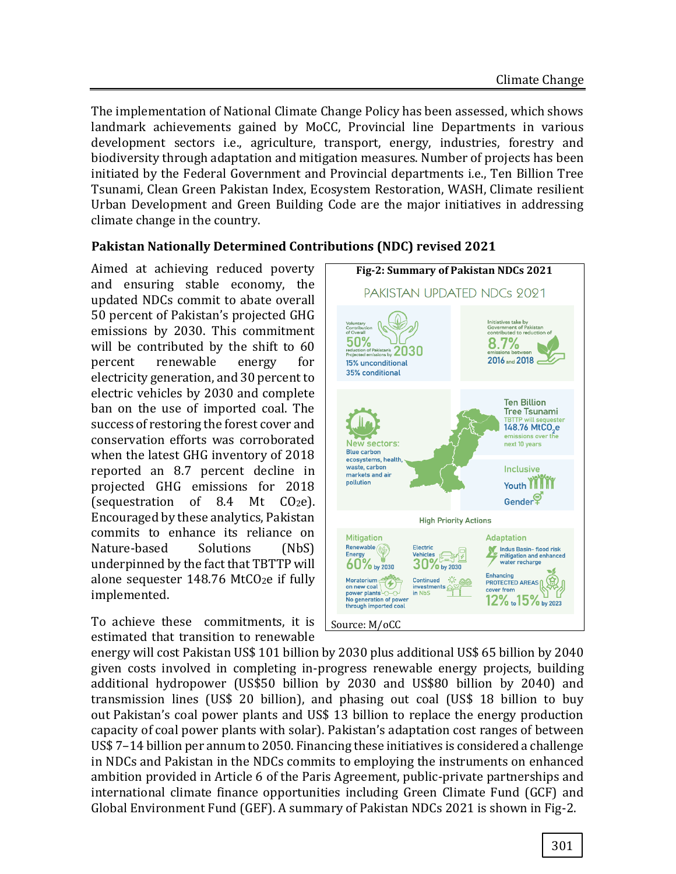The implementation of National Climate Change Policy has been assessed, which shows landmark achievements gained by MoCC, Provincial line Departments in various development sectors i.e., agriculture, transport, energy, industries, forestry and biodiversity through adaptation and mitigation measures. Number of projects has been initiated by the Federal Government and Provincial departments i.e., Ten Billion Tree Tsunami, Clean Green Pakistan Index, Ecosystem Restoration, WASH, Climate resilient Urban Development and Green Building Code are the major initiatives in addressing climate change in the country.

# **Pakistan Nationally Determined Contributions (NDC) revised 2021**

Aimed at achieving reduced poverty and ensuring stable economy, the updated NDCs commit to abate overall 50 percent of Pakistan's projected GHG emissions by 2030. This commitment will be contributed by the shift to 60 percent renewable energy for electricity generation, and 30 percent to electric vehicles by 2030 and complete ban on the use of imported coal. The success of restoring the forest cover and conservation efforts was corroborated when the latest GHG inventory of 2018 reported an 8.7 percent decline in projected GHG emissions for 2018 (sequestration of 8.4 Mt  $CO<sub>2</sub>e$ ). Encouraged by these analytics, Pakistan commits to enhance its reliance on Nature-based Solutions (NbS) underpinned by the fact that TBTTP will alone sequester 148.76 MtCO<sub>2</sub>e if fully implemented.

To achieve these commitments, it is estimated that transition to renewable



energy will cost Pakistan US\$ 101 billion by 2030 plus additional US\$ 65 billion by 2040 given costs involved in completing in-progress renewable energy projects, building additional hydropower (US\$50 billion by 2030 and US\$80 billion by 2040) and transmission lines (US\$ 20 billion), and phasing out coal (US\$ 18 billion to buy out Pakistan's coal power plants and US\$ 13 billion to replace the energy production capacity of coal power plants with solar). Pakistan's adaptation cost ranges of between US\$ 7–14 billion per annum to 2050. Financing these initiatives is considered a challenge in NDCs and Pakistan in the NDCs commits to employing the instruments on enhanced ambition provided in Article 6 of the Paris Agreement, public-private partnerships and international climate finance opportunities including Green Climate Fund (GCF) and Global Environment Fund (GEF). A summary of Pakistan NDCs 2021 is shown in Fig-2.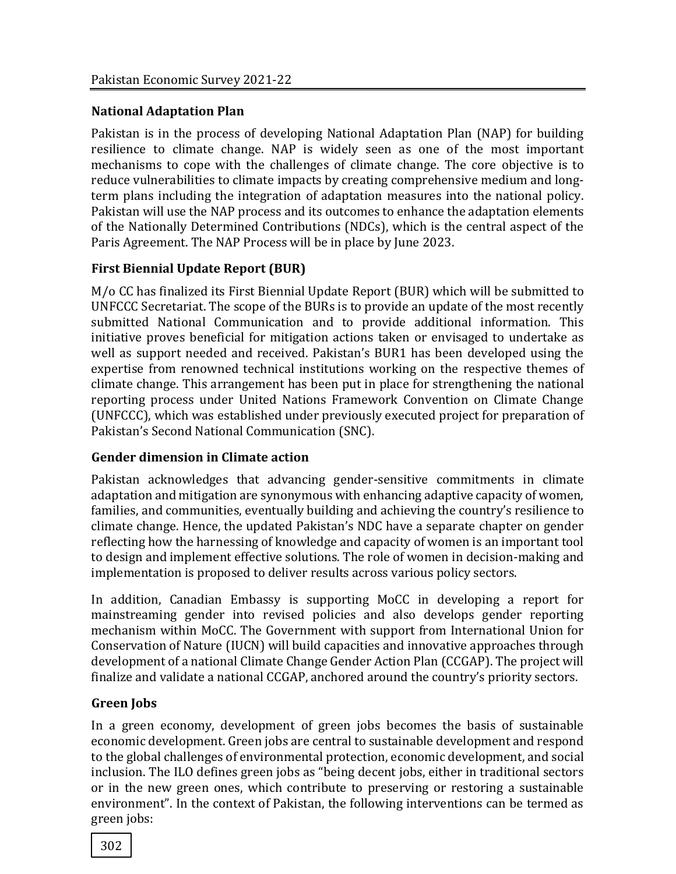#### **National Adaptation Plan**

Pakistan is in the process of developing National Adaptation Plan (NAP) for building resilience to climate change. NAP is widely seen as one of the most important mechanisms to cope with the challenges of climate change. The core objective is to reduce vulnerabilities to climate impacts by creating comprehensive medium and longterm plans including the integration of adaptation measures into the national policy. Pakistan will use the NAP process and its outcomes to enhance the adaptation elements of the Nationally Determined Contributions (NDCs), which is the central aspect of the Paris Agreement. The NAP Process will be in place by June 2023.

## **First Biennial Update Report (BUR)**

M/o CC has finalized its First Biennial Update Report (BUR) which will be submitted to UNFCCC Secretariat. The scope of the BURs is to provide an update of the most recently submitted National Communication and to provide additional information. This initiative proves beneficial for mitigation actions taken or envisaged to undertake as well as support needed and received. Pakistan's BUR1 has been developed using the expertise from renowned technical institutions working on the respective themes of climate change. This arrangement has been put in place for strengthening the national reporting process under United Nations Framework Convention on Climate Change (UNFCCC), which was established under previously executed project for preparation of Pakistan's Second National Communication (SNC).

#### **Gender dimension in Climate action**

Pakistan acknowledges that advancing gender-sensitive commitments in climate adaptation and mitigation are synonymous with enhancing adaptive capacity of women, families, and communities, eventually building and achieving the country's resilience to climate change. Hence, the updated Pakistan's NDC have a separate chapter on gender reflecting how the harnessing of knowledge and capacity of women is an important tool to design and implement effective solutions. The role of women in decision-making and implementation is proposed to deliver results across various policy sectors.

In addition, Canadian Embassy is supporting MoCC in developing a report for mainstreaming gender into revised policies and also develops gender reporting mechanism within MoCC. The Government with support from International Union for Conservation of Nature (IUCN) will build capacities and innovative approaches through development of a national Climate Change Gender Action Plan (CCGAP). The project will finalize and validate a national CCGAP, anchored around the country's priority sectors.

## **Green Jobs**

In a green economy, development of green jobs becomes the basis of sustainable economic development. Green jobs are central to sustainable development and respond to the global challenges of environmental protection, economic development, and social inclusion. The ILO defines green jobs as "being decent jobs, either in traditional sectors or in the new green ones, which contribute to preserving or restoring a sustainable environment". In the context of Pakistan, the following interventions can be termed as green jobs: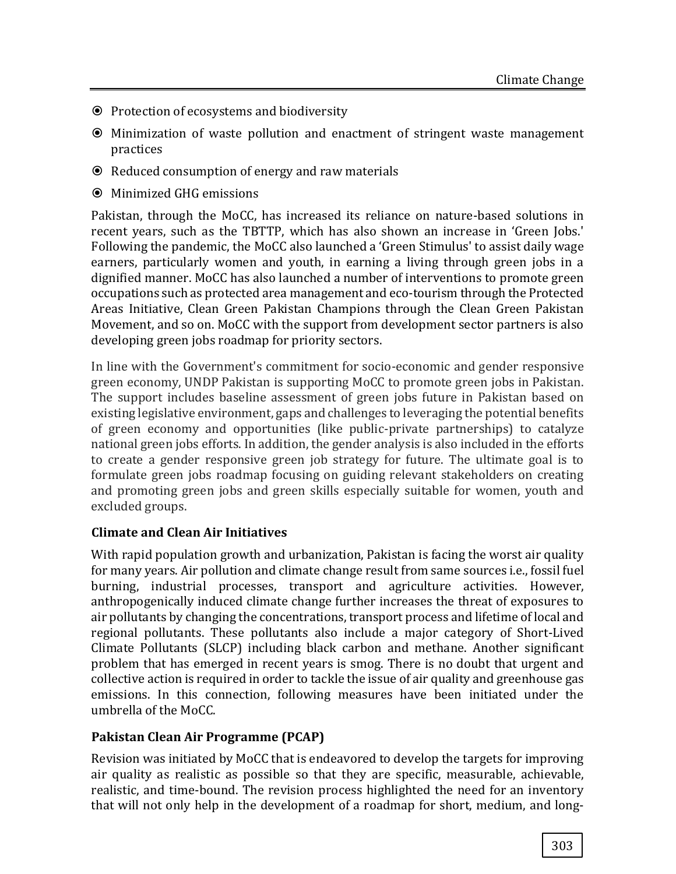- **☉** Protection of ecosystems and biodiversity
- Minimization of waste pollution and enactment of stringent waste management practices
- Reduced consumption of energy and raw materials
- Minimized GHG emissions

Pakistan, through the MoCC, has increased its reliance on nature-based solutions in recent years, such as the TBTTP, which has also shown an increase in 'Green Jobs.' Following the pandemic, the MoCC also launched a 'Green Stimulus' to assist daily wage earners, particularly women and youth, in earning a living through green jobs in a dignified manner. MoCC has also launched a number of interventions to promote green occupations such as protected area management and eco-tourism through the Protected Areas Initiative, Clean Green Pakistan Champions through the Clean Green Pakistan Movement, and so on. MoCC with the support from development sector partners is also developing green jobs roadmap for priority sectors.

In line with the Government's commitment for socio-economic and gender responsive green economy, UNDP Pakistan is supporting MoCC to promote green jobs in Pakistan. The support includes baseline assessment of green jobs future in Pakistan based on existing legislative environment, gaps and challenges to leveraging the potential benefits of green economy and opportunities (like public-private partnerships) to catalyze national green jobs efforts. In addition, the gender analysis is also included in the efforts to create a gender responsive green job strategy for future. The ultimate goal is to formulate green jobs roadmap focusing on guiding relevant stakeholders on creating and promoting green jobs and green skills especially suitable for women, youth and excluded groups.

#### **Climate and Clean Air Initiatives**

With rapid population growth and urbanization, Pakistan is facing the worst air quality for many years. Air pollution and climate change result from same sources i.e., fossil fuel burning, industrial processes, transport and agriculture activities. However, anthropogenically induced climate change further increases the threat of exposures to air pollutants by changing the concentrations, transport process and lifetime of local and regional pollutants. These pollutants also include a major category of Short-Lived Climate Pollutants (SLCP) including black carbon and methane. Another significant problem that has emerged in recent years is smog. There is no doubt that urgent and collective action is required in order to tackle the issue of air quality and greenhouse gas emissions. In this connection, following measures have been initiated under the umbrella of the MoCC.

#### **Pakistan Clean Air Programme (PCAP)**

Revision was initiated by MoCC that is endeavored to develop the targets for improving air quality as realistic as possible so that they are specific, measurable, achievable, realistic, and time-bound. The revision process highlighted the need for an inventory that will not only help in the development of a roadmap for short, medium, and long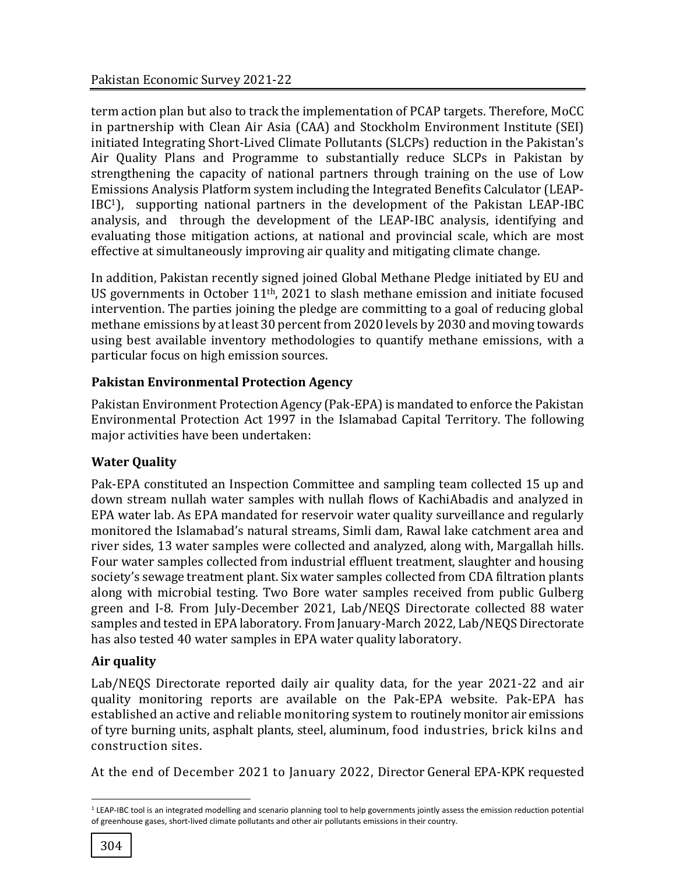term action plan but also to track the implementation of PCAP targets. Therefore, MoCC in partnership with Clean Air Asia (CAA) and Stockholm Environment Institute (SEI) initiated Integrating Short-Lived Climate Pollutants (SLCPs) reduction in the Pakistan's Air Quality Plans and Programme to substantially reduce SLCPs in Pakistan by strengthening the capacity of national partners through training on the use of Low Emissions Analysis Platform system including the Integrated Benefits Calculator (LEAP-IBC1), supporting national partners in the development of the Pakistan LEAP-IBC analysis, and through the development of the LEAP-IBC analysis, identifying and evaluating those mitigation actions, at national and provincial scale, which are most effective at simultaneously improving air quality and mitigating climate change.

In addition, Pakistan recently signed joined Global Methane Pledge initiated by EU and US governments in October 11th, 2021 to slash methane emission and initiate focused intervention. The parties joining the pledge are committing to a goal of reducing global methane emissions by at least 30 percent from 2020 levels by 2030 and moving towards using best available inventory methodologies to quantify methane emissions, with a particular focus on high emission sources.

## **Pakistan Environmental Protection Agency**

Pakistan Environment Protection Agency (Pak-EPA) is mandated to enforce the Pakistan Environmental Protection Act 1997 in the Islamabad Capital Territory. The following major activities have been undertaken:

# **Water Quality**

Pak-EPA constituted an Inspection Committee and sampling team collected 15 up and down stream nullah water samples with nullah flows of KachiAbadis and analyzed in EPA water lab. As EPA mandated for reservoir water quality surveillance and regularly monitored the Islamabad's natural streams, Simli dam, Rawal lake catchment area and river sides, 13 water samples were collected and analyzed, along with, Margallah hills. Four water samples collected from industrial effluent treatment, slaughter and housing society's sewage treatment plant. Six water samples collected from CDA filtration plants along with microbial testing. Two Bore water samples received from public Gulberg green and I-8. From July-December 2021, Lab/NEQS Directorate collected 88 water samples and tested in EPA laboratory. From January-March 2022, Lab/NEQS Directorate has also tested 40 water samples in EPA water quality laboratory.

## **Air quality**

Lab/NEQS Directorate reported daily air quality data, for the year 2021-22 and air quality monitoring reports are available on the Pak-EPA website. Pak-EPA has established an active and reliable monitoring system to routinely monitor air emissions of tyre burning units, asphalt plants, steel, aluminum, food industries, brick kilns and construction sites.

At the end of December 2021 to January 2022, Director General EPA-KPK requested

l

<sup>&</sup>lt;sup>1</sup> LEAP-IBC tool is an integrated modelling and scenario planning tool to help governments jointly assess the emission reduction potential of greenhouse gases, short-lived climate pollutants and other air pollutants emissions in their country.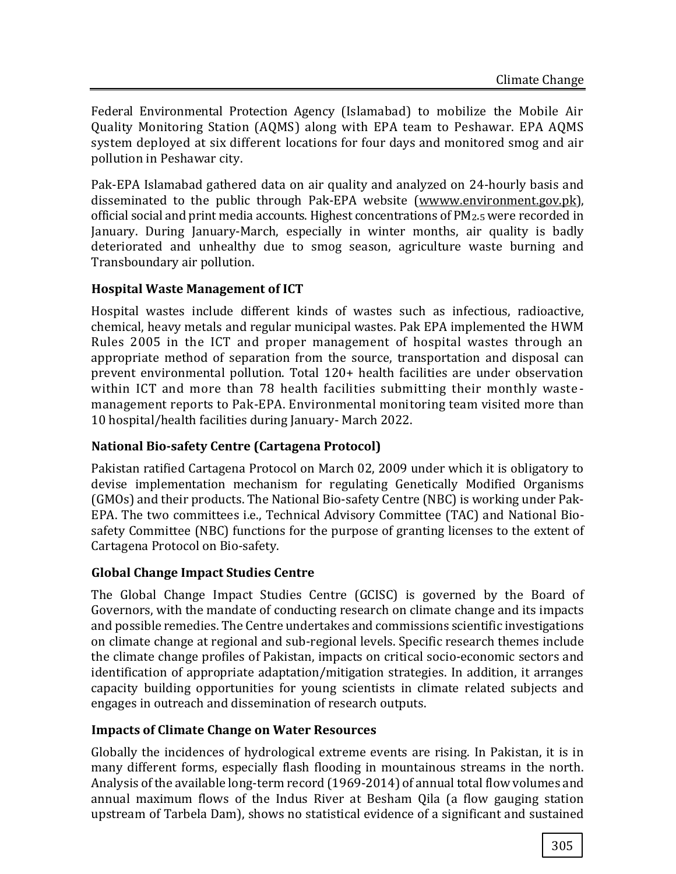Federal Environmental Protection Agency (Islamabad) to mobilize the Mobile Air Quality Monitoring Station (AQMS) along with EPA team to Peshawar. EPA AQMS system deployed at six different locations for four days and monitored smog and air pollution in Peshawar city.

Pak-EPA Islamabad gathered data on air quality and analyzed on 24-hourly basis and disseminated to the public through Pak-EPA website [\(wwww.environment.gov.pk\)](http://wwww.environment.gov.pk/), official social and print media accounts. Highest concentrations of PM2.5 were recorded in January. During January-March, especially in winter months, air quality is badly deteriorated and unhealthy due to smog season, agriculture waste burning and Transboundary air pollution.

## **Hospital Waste Management of ICT**

Hospital wastes include different kinds of wastes such as infectious, radioactive, chemical, heavy metals and regular municipal wastes. Pak EPA implemented the HWM Rules 2005 in the ICT and proper management of hospital wastes through an appropriate method of separation from the source, transportation and disposal can prevent environmental pollution. Total 120+ health facilities are under observation within ICT and more than 78 health facilities submitting their monthly wastemanagement reports to Pak-EPA. Environmental monitoring team visited more than 10 hospital/health facilities during January- March 2022.

## **National Bio-safety Centre (Cartagena Protocol)**

Pakistan ratified Cartagena Protocol on March 02, 2009 under which it is obligatory to devise implementation mechanism for regulating Genetically Modified Organisms (GMOs) and their products. The National Bio-safety Centre (NBC) is working under Pak-EPA. The two committees i.e., Technical Advisory Committee (TAC) and National Biosafety Committee (NBC) functions for the purpose of granting licenses to the extent of Cartagena Protocol on Bio-safety.

## **Global Change Impact Studies Centre**

The Global Change Impact Studies Centre (GCISC) is governed by the Board of Governors, with the mandate of conducting research on climate change and its impacts and possible remedies. The Centre undertakes and commissions scientific investigations on climate change at regional and sub-regional levels. Specific research themes include the climate change profiles of Pakistan, impacts on critical socio-economic sectors and identification of appropriate adaptation/mitigation strategies. In addition, it arranges capacity building opportunities for young scientists in climate related subjects and engages in outreach and dissemination of research outputs.

## **Impacts of Climate Change on Water Resources**

Globally the incidences of hydrological extreme events are rising. In Pakistan, it is in many different forms, especially flash flooding in mountainous streams in the north. Analysis of the available long-term record (1969-2014) of annual total flow volumes and annual maximum flows of the Indus River at Besham Qila (a flow gauging station upstream of Tarbela Dam), shows no statistical evidence of a significant and sustained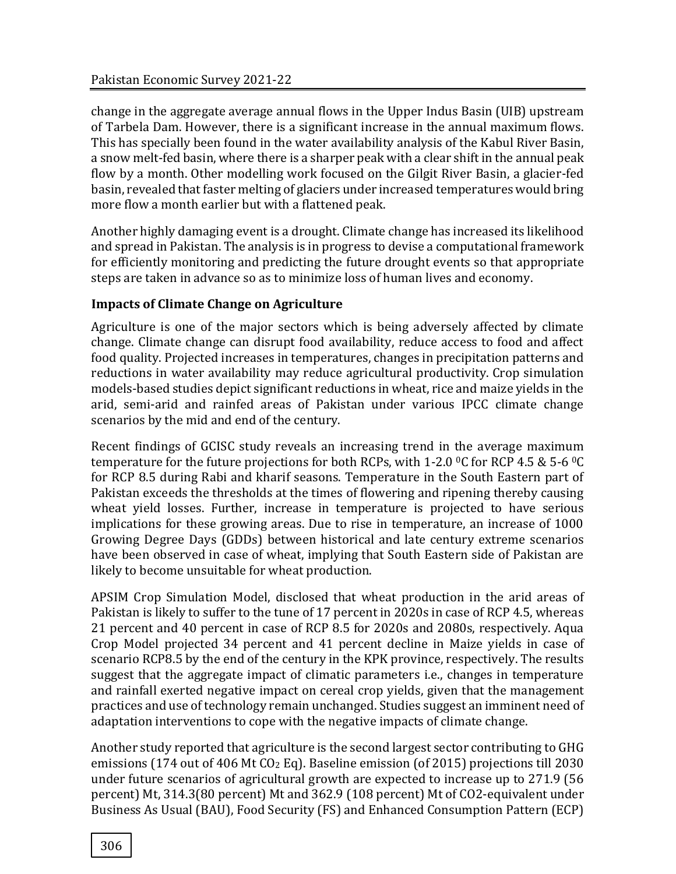change in the aggregate average annual flows in the Upper Indus Basin (UIB) upstream of Tarbela Dam. However, there is a significant increase in the annual maximum flows. This has specially been found in the water availability analysis of the Kabul River Basin, a snow melt-fed basin, where there is a sharper peak with a clear shift in the annual peak flow by a month. Other modelling work focused on the Gilgit River Basin, a glacier-fed basin, revealed that faster melting of glaciers under increased temperatures would bring more flow a month earlier but with a flattened peak.

Another highly damaging event is a drought. Climate change has increased its likelihood and spread in Pakistan. The analysis is in progress to devise a computational framework for efficiently monitoring and predicting the future drought events so that appropriate steps are taken in advance so as to minimize loss of human lives and economy.

#### **Impacts of Climate Change on Agriculture**

Agriculture is one of the major sectors which is being adversely affected by climate change. Climate change can disrupt food availability, reduce access to food and affect food quality. Projected increases in temperatures, changes in precipitation patterns and reductions in water availability may reduce agricultural productivity. Crop simulation models-based studies depict significant reductions in wheat, rice and maize yields in the arid, semi-arid and rainfed areas of Pakistan under various IPCC climate change scenarios by the mid and end of the century.

Recent findings of GCISC study reveals an increasing trend in the average maximum temperature for the future projections for both RCPs, with 1-2.0  $\degree$ C for RCP 4.5 & 5-6  $\degree$ C for RCP 8.5 during Rabi and kharif seasons. Temperature in the South Eastern part of Pakistan exceeds the thresholds at the times of flowering and ripening thereby causing wheat yield losses. Further, increase in temperature is projected to have serious implications for these growing areas. Due to rise in temperature, an increase of 1000 Growing Degree Days (GDDs) between historical and late century extreme scenarios have been observed in case of wheat, implying that South Eastern side of Pakistan are likely to become unsuitable for wheat production.

APSIM Crop Simulation Model, disclosed that wheat production in the arid areas of Pakistan is likely to suffer to the tune of 17 percent in 2020s in case of RCP 4.5, whereas 21 percent and 40 percent in case of RCP 8.5 for 2020s and 2080s, respectively. Aqua Crop Model projected 34 percent and 41 percent decline in Maize yields in case of scenario RCP8.5 by the end of the century in the KPK province, respectively. The results suggest that the aggregate impact of climatic parameters i.e., changes in temperature and rainfall exerted negative impact on cereal crop yields, given that the management practices and use of technology remain unchanged. Studies suggest an imminent need of adaptation interventions to cope with the negative impacts of climate change.

Another study reported that agriculture is the second largest sector contributing to GHG emissions (174 out of 406 Mt  $CO<sub>2</sub>$  Eq). Baseline emission (of 2015) projections till 2030 under future scenarios of agricultural growth are expected to increase up to 271.9 (56 percent) Mt, 314.3(80 percent) Mt and 362.9 (108 percent) Mt of CO2-equivalent under Business As Usual (BAU), Food Security (FS) and Enhanced Consumption Pattern (ECP)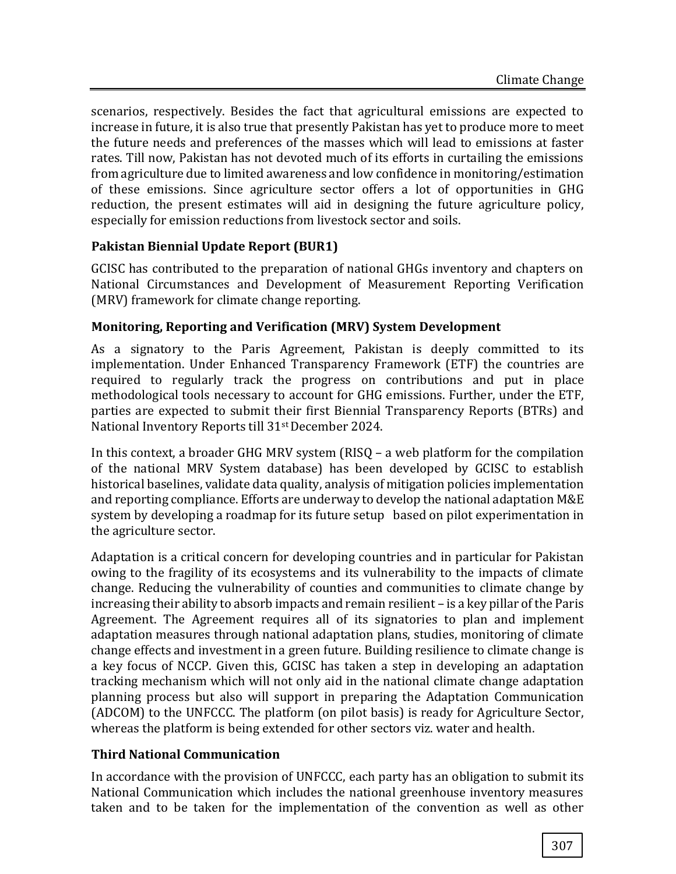scenarios, respectively. Besides the fact that agricultural emissions are expected to increase in future, it is also true that presently Pakistan has yet to produce more to meet the future needs and preferences of the masses which will lead to emissions at faster rates. Till now, Pakistan has not devoted much of its efforts in curtailing the emissions from agriculture due to limited awareness and low confidence in monitoring/estimation of these emissions. Since agriculture sector offers a lot of opportunities in GHG reduction, the present estimates will aid in designing the future agriculture policy, especially for emission reductions from livestock sector and soils.

## **Pakistan Biennial Update Report (BUR1)**

GCISC has contributed to the preparation of national GHGs inventory and chapters on National Circumstances and Development of Measurement Reporting Verification (MRV) framework for climate change reporting.

#### **Monitoring, Reporting and Verification (MRV) System Development**

As a signatory to the Paris Agreement, Pakistan is deeply committed to its implementation. Under Enhanced Transparency Framework (ETF) the countries are required to regularly track the progress on contributions and put in place methodological tools necessary to account for GHG emissions. Further, under the ETF, parties are expected to submit their first Biennial Transparency Reports (BTRs) and National Inventory Reports till 31st December 2024.

In this context, a broader GHG MRV system (RISQ – a web platform for the compilation of the national MRV System database) has been developed by GCISC to establish historical baselines, validate data quality, analysis of mitigation policies implementation and reporting compliance. Efforts are underway to develop the national adaptation M&E system by developing a roadmap for its future setup based on pilot experimentation in the agriculture sector.

Adaptation is a critical concern for developing countries and in particular for Pakistan owing to the fragility of its ecosystems and its vulnerability to the impacts of climate change. Reducing the vulnerability of counties and communities to climate change by increasing their ability to absorb impacts and remain resilient – is a key pillar of the Paris Agreement. The Agreement requires all of its signatories to plan and implement adaptation measures through national adaptation plans, studies, monitoring of climate change effects and investment in a green future. Building resilience to climate change is a key focus of NCCP. Given this, GCISC has taken a step in developing an adaptation tracking mechanism which will not only aid in the national climate change adaptation planning process but also will support in preparing the Adaptation Communication (ADCOM) to the UNFCCC. The platform (on pilot basis) is ready for Agriculture Sector, whereas the platform is being extended for other sectors viz. water and health.

#### **Third National Communication**

In accordance with the provision of UNFCCC, each party has an obligation to submit its National Communication which includes the national greenhouse inventory measures taken and to be taken for the implementation of the convention as well as other